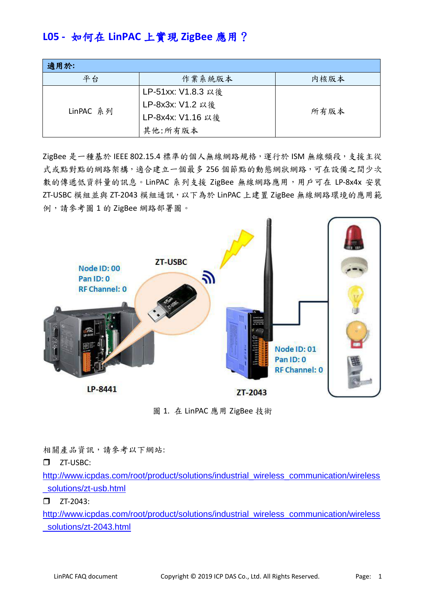# **L05 -** 如何在 **LinPAC** 上實現 **ZigBee** 應用?

| 適用於:      |                    |      |
|-----------|--------------------|------|
| 平台        | 作業系統版本             | 内核版本 |
| LinPAC 系列 | LP-51xx: V1.8.3 以後 |      |
|           | LP-8x3x: V1.2 以後   |      |
|           | LP-8x4x: V1.16 以後  | 所有版本 |
|           | 其他:所有版本            |      |

ZigBee 是一種基於 IEEE 802.15.4 標準的個人無線網路規格,運行於 ISM 無線頻段,支援主從 式或點對點的網路架構,適合建立一個最多256個節點的動態網狀網路,可在設備之間少次 數的傳遞低資料量的訊息。LinPAC 系列支援 ZigBee 無線網路應用,用戶可在 LP-8x4x 安裝 ZT-USBC 模組並與 ZT-2043 模組通訊,以下為於 LinPAC 上建置 ZigBee 無線網路環境的應用範 例,請參考圖 1 的 ZigBee 網路部署圖。



圖 1. 在 LinPAC 應用 ZigBee 技術

相關產品資訊,請參考以下網站:

 $\square$  ZT-USBC:

[http://www.icpdas.com/root/product/solutions/industrial\\_wireless\\_communication/wireless](http://www.icpdas.com/root/product/solutions/industrial_wireless_communication/wireless_solutions/zt-usb.html) [\\_solutions/zt-usb.html](http://www.icpdas.com/root/product/solutions/industrial_wireless_communication/wireless_solutions/zt-usb.html)

 $\square$  ZT-2043:

[http://www.icpdas.com/root/product/solutions/industrial\\_wireless\\_communication/wireless](http://www.icpdas.com/root/product/solutions/industrial_wireless_communication/wireless_solutions/zt-2043.html) [\\_solutions/zt-2043.html](http://www.icpdas.com/root/product/solutions/industrial_wireless_communication/wireless_solutions/zt-2043.html)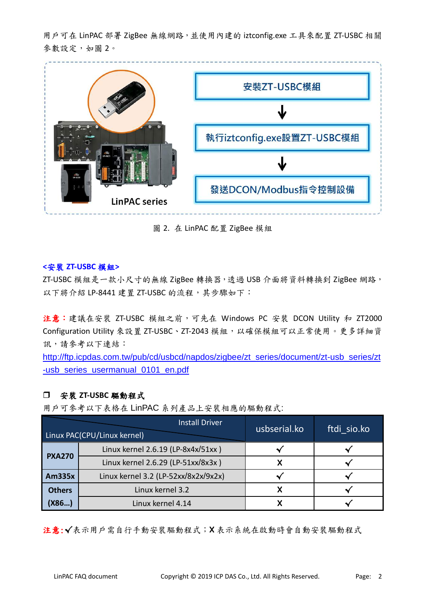用戶可在 LinPAC 部署 ZigBee 無線網路,並使用內建的 iztconfig.exe 工具來配置 ZT-USBC 相關 參數設定,如圖 2。



圖 2. 在 LinPAC 配置 ZigBee 模組

# **<**安裝 **ZT-USBC** 模組**>**

ZT-USBC 模組是一款小尺寸的無線 ZigBee 轉換器,透過 USB 介面將資料轉換到 ZigBee 網路, 以下將介紹 LP-8441 建置 ZT-USBC 的流程,其步驟如下:

注意:建議在安裝 ZT-USBC 模組之前,可先在 Windows PC 安裝 DCON Utility 和 ZT2000 Configuration Utility 來設置 ZT-USBC、ZT-2043 模組,以確保模組可以正常使用。更多詳細資 訊,請參考以下連結:

[http://ftp.icpdas.com.tw/pub/cd/usbcd/napdos/zigbee/zt\\_series/document/zt-usb\\_series/zt](http://ftp.icpdas.com.tw/pub/cd/usbcd/napdos/zigbee/zt_series/document/zt-usb_series/zt-usb_series_usermanual_0101_en.pdf) [-usb\\_series\\_usermanual\\_0101\\_en.pdf](http://ftp.icpdas.com.tw/pub/cd/usbcd/napdos/zigbee/zt_series/document/zt-usb_series/zt-usb_series_usermanual_0101_en.pdf)

# 安裝 **ZT-USBC** 驅動程式

用戶可參考以下表格在 LinPAC 系列產品上安裝相應的驅動程式:

| <b>Install Driver</b><br>Linux PAC(CPU/Linux kernel) |                                      | usbserial.ko | ftdi sio.ko |
|------------------------------------------------------|--------------------------------------|--------------|-------------|
| <b>PXA270</b>                                        | Linux kernel 2.6.19 (LP-8x4x/51xx)   |              |             |
|                                                      | Linux kernel 2.6.29 (LP-51xx/8x3x)   |              |             |
| <b>Am335x</b>                                        | Linux kernel 3.2 (LP-52xx/8x2x/9x2x) |              |             |
| <b>Others</b>                                        | Linux kernel 3.2                     |              |             |
| (X86…)                                               | Linux kernel 4.14                    |              |             |

注意:√表示用戶需自行手動安裝驅動程式;X 表示系統在啟動時會自動安裝驅動程式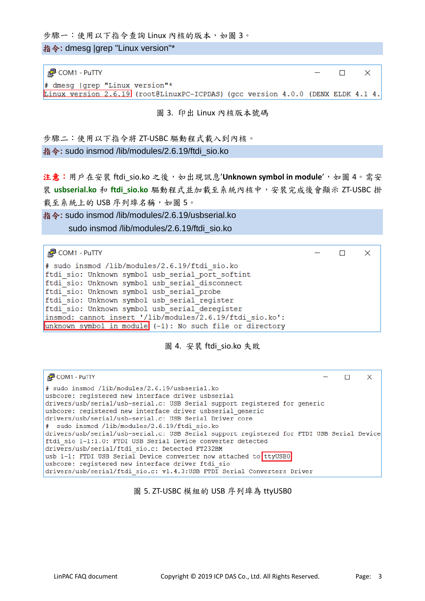步驟一:使用以下指令查詢 Linux 內核的版本,如圖 3。

指令**:** dmesg |grep "Linux version"\*

| $\frac{1}{2}$ COM1 - PuTTY                                                      | $ \Box$ $\times$ |  |  |
|---------------------------------------------------------------------------------|------------------|--|--|
| $\#$ dmesg (grep "Linux version"*                                               |                  |  |  |
| Linux version 2.6.19 (root@LinuxPC-ICPDAS) (gcc version 4.0.0 (DENX ELDK 4.1 4. |                  |  |  |
|                                                                                 |                  |  |  |

圖 3. 印出 Linux 內核版本號碼

步驟二:使用以下指令將 ZT-USBC 驅動程式載入到內核。 指令**:** sudo insmod /lib/modules/2.6.19/ftdi\_sio.ko

注意:用戶在安裝 ftdi sio.ko 之後,如出現訊息'Unknown symbol in module',如圖 4。需安 裝 **usbserial.ko** 和 **ftdi\_sio.ko** 驅動程式並加載至系統內核中,安裝完成後會顯示 ZT-USBC 掛 載至系統上的 USB 序列埠名稱, 如圖 5。

指令**:** sudo insmod /lib/modules/2.6.19/usbserial.ko

sudo insmod /lib/modules/2.6.19/ftdi\_sio.ko

PCOM1 - PuTTY  $\Box$  $\times$ # sudo insmod /lib/modules/2.6.19/ftdi sio.ko ftdi sio: Unknown symbol usb serial port softint ftdi sio: Unknown symbol usb serial disconnect ftdi sio: Unknown symbol usb serial probe ftdi sio: Unknown symbol usb serial register ftdi sio: Unknown symbol usb serial deregister insmod: cannot insert '/lib/modules/2.6.19/ftdi sio.ko': unknown symbol in module  $(-1)$ : No such file or directory

圖 4. 安裝 ftdi\_sio.ko 失敗

| <b>图 COM1 - PuTTY</b>                                                                                                                                                                                                                                                                                                                                                                                            |  |  |
|------------------------------------------------------------------------------------------------------------------------------------------------------------------------------------------------------------------------------------------------------------------------------------------------------------------------------------------------------------------------------------------------------------------|--|--|
| # sudo insmod /lib/modules/2.6.19/usbserial.ko<br>usbcore: registered new interface driver usbserial<br>drivers/usb/serial/usb-serial.c: USB Serial support registered for generic<br>usbcore: registered new interface driver usbserial generic<br>drivers/usb/serial/usb-serial.c: USB Serial Driver core<br># sudo insmod /lib/modules/2.6.19/ftdi sio.ko                                                     |  |  |
| drivers/usb/serial/usb-serial.c: USB Serial support registered for FTDI USB Serial Device<br>ftdi sio 1-1:1.0: FTDI USB Serial Device converter detected<br>drivers/usb/serial/ftdi sio.c: Detected FT232BM<br>usb 1-1: FTDI USB Serial Device converter now attached to ttyUSB0<br>usbcore: registered new interface driver ftdi sio<br>drivers/usb/serial/ftdi sio.c: v1.4.3:USB FTDI Serial Converters Driver |  |  |

## 圖 5. ZT-USBC 模組的 USB 序列埠為 ttyUSB0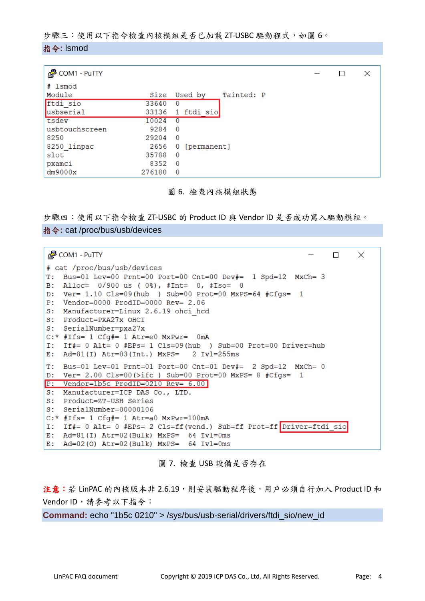步驟三:使用以下指令檢查內核模組是否已加載 ZT-USBC 驅動程式,如圖 6。 指令**:** lsmod

| <b>₽</b> COM1 - PuTTY |        |                         |  | × |
|-----------------------|--------|-------------------------|--|---|
| # 1smod               |        |                         |  |   |
| Module                | Size   | Tainted: P<br>Used by   |  |   |
| ftdi sio              | 33640  | $\Omega$                |  |   |
| usbserial             | 33136  | 1 ftdi sio              |  |   |
| tsdev                 | 10024  | $\Omega$                |  |   |
| usbtouchscreen        | 9284   | $\Omega$                |  |   |
| 8250                  | 29204  | $\overline{\mathbf{0}}$ |  |   |
| 8250 linpac           | 2656   | 0 [permanent]           |  |   |
| slot                  | 35788  | $\Omega$                |  |   |
| pxamci                | 8352   | $\Omega$                |  |   |
| dm9000x               | 276180 | $\Omega$                |  |   |

圖 6. 檢查內核模組狀態

步驟四:使用以下指令檢查 ZT-USBC 的 Product ID 與 Vendor ID 是否成功寫入驅動模組。

## 指令**:** cat /proc/bus/usb/devices

| L <sup>2</sup> COM1 - PuTTY<br>$\Box$                                 | $\times$ |
|-----------------------------------------------------------------------|----------|
| # cat /proc/bus/usb/devices                                           |          |
| T.<br>Bus=01 Lev=00 Prnt=00 Port=00 Cnt=00 Dev#= $1$ Spd=12 MxCh= 3   |          |
| Alloc= $0/900$ us ( $0\$ ), #Int= $0$ , #Iso= 0<br>B:                 |          |
| D: Ver= $1.10$ Cls=09(hub ) Sub=00 Prot=00 MxPS=64 #Cfqs= 1           |          |
| $Vendor=0000$ $ProdID=0000$ $Rev=2.06$<br>P:                          |          |
| S:<br>Manufacturer=Linux 2.6.19 ohci hcd                              |          |
| Product=PXA27x OHCT<br>S:                                             |          |
| S: SerialNumber=pxa27x                                                |          |
| $C: *$ #Ifs= 1 $Cfg# = 1$ Atr=e0 MxPwr= 0mA                           |          |
| I: If#= 0 Alt= 0 #EPs= 1 Cls=09(hub ) Sub=00 Prot=00 Driver=hub       |          |
| E: Ad=81(I) Atr=03(Int.) MxPS= 2 Iv1=255ms                            |          |
| T:<br>Bus=01 Lev=01 Prnt=01 Port=00 Cnt=01 Dev#= 2 Spd=12 MxCh= 0     |          |
| D: Ver= 2.00 Cls=00(>ifc ) Sub=00 Prot=00 MxPS= 8 $#Cfgs= 1$          |          |
| $P:$ Vendor=1b5c ProdID=0210 Rev= 6.00                                |          |
| S: Manufacturer=ICP DAS Co., LTD.                                     |          |
| S:<br>Product=ZT-USB Series                                           |          |
| S: SerialNumber=00000106                                              |          |
| $C: *$ #Ifs= 1 $Cfg#= 1$ Atr=a0 MxPwr=100mA                           |          |
| I: If#= 0 Alt= 0 #EPs= 2 Cls=ff(vend.) Sub=ff Prot=ff Driver=ftdi sio |          |
| E: Ad=81(I) Atr=02(Bulk) MxPS= $64$ Ivl=0ms                           |          |
| E: Ad=02(0) Atr=02(Bulk) MxPS= $64$ Ivl=0ms                           |          |

圖 7. 檢查 USB 設備是否存在

注意:若 LinPAC 的內核版本非 2.6.19,則安裝驅動程序後,用戶必須自行加入 Product ID 和 Vendor ID, 請參考以下指令:

**Command:** echo "1b5c 0210" > /sys/bus/usb-serial/drivers/ftdi\_sio/new\_id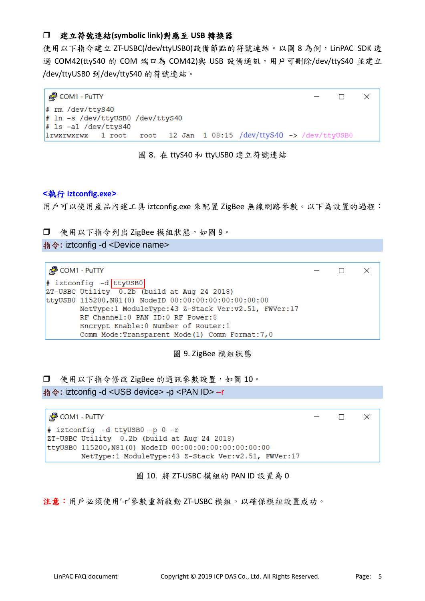# 建立符號連結**(symbolic link)**對應至 **USB** 轉換器

使用以下指令建立 ZT-USBC(/dev/ttyUSB0)設備節點的符號連結。以圖 8 為例, LinPAC SDK 透 過 COM42(ttyS40 的 COM 端口為 COM42)與 USB 設備通訊,用戶可刪除/dev/ttyS40 並建立 /dev/ttyUSB0 到/dev/ttyS40 的符號連結。

| $\frac{3}{2}$ COM1 - PuTTY                                                        | $ \Box$ $\times$ |
|-----------------------------------------------------------------------------------|------------------|
| $#$ rm /dev/ttyS40<br># ln -s /dev/ttyUSB0 /dev/ttyS40<br>$\#$ 1s -al /dev/ttyS40 |                  |
| $ 1rwxrwxrwx 1$ root root 12 Jan 1 08:15 /dev/ttyS40 -> /dev/ttyUSB0              |                  |

圖 8. 在 ttyS40 和 ttyUSB0 建立符號連結

## **<**執行 **iztconfig.exe>**

用戶可以使用產品內建工具 iztconfig.exe 來配置 ZigBee 無線網路參數。以下為設置的過程:

□ 使用以下指令列出 ZigBee 模組狀態,如圖 9。

指令**:** iztconfig -d <Device name>

**₽** COM1 - PuTTY  $\Box$  $\times$ # iztconfig -d ttyUSB0 ZT-USBC Utility 0.2b (build at Aug 24 2018) ttyUSB0 115200, N81(0) NodeID 00:00:00:00:00:00:00:00 NetType:1 ModuleType:43 Z-Stack Ver:v2.51, FWVer:17 RF Channel: 0 PAN ID: 0 RF Power: 8 Encrypt Enable:0 Number of Router:1 Comm Mode: Transparent Mode (1) Comm Format: 7,0

圖 9. ZigBee 模組狀態

□ 使用以下指今修改 ZigBee 的通訊參數設置,如圖 10。

指令**:** iztconfig -d <USB device> -p <PAN ID> –r

PuTTY COM1 - PuTTY  $\Box$  $\times$ # iztconfig -d ttyUSB0 -p 0 -r ZT-USBC Utility 0.2b (build at Aug 24 2018) ttyUSB0 115200, N81(0) NodeID 00:00:00:00:00:00:00:00 NetType:1 ModuleType:43 Z-Stack Ver:v2.51, FWVer:17

圖 10. 將 ZT-USBC 模組的 PAN ID 設置為 0

注意:用戶必須使用'-r'參數重新啟動 ZT-USBC 模組,以確保模組設置成功。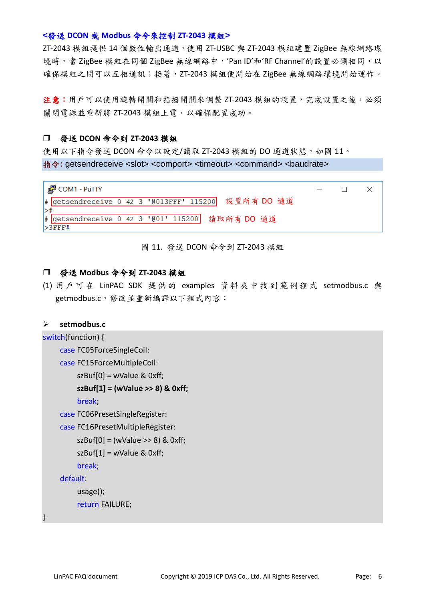## **<**發送 **DCON** 或 **Modbus** 命令來控制 **ZT-2043** 模組**>**

ZT-2043 模組提供 14 個數位輸出通道,使用 ZT-USBC 與 ZT-2043 模組建置 ZigBee 無線網路環 境時,當 ZigBee 模組在同個 ZigBee 無線網路中,'Pan ID'和'RF Channel'的設置必須相同,以 確保模組之間可以互相通訊;接著,ZT-2043 模組便開始在 ZigBee 無線網路環境開始運作。

注意:用戶可以使用旋轉開關和指撥開關來調整 ZT-2043 模組的設置,完成設置之後,必須 關閉電源並重新將 ZT-2043 模組上電,以確保配置成功。

## 發送 **DCON** 命令到 **ZT-2043** 模組

使用以下指令發送 DCON 命令以設定/讀取 ZT-2043 模組的 DO 通道狀態,如圖 11。 指令: getsendreceive <slot> <comport> <timeout> <command> <br/> <br/>baudrate>



#### 圖 11. 發送 DCON 命令到 ZT-2043 模組

#### 發送 **Modbus** 命令到 **ZT-2043** 模組

(1) 用戶可在 LinPAC SDK 提供的 examples 資料夾中找到範例程式 setmodbus.c 與 getmodbus.c,修改並重新編譯以下程式內容:

#### **setmodbus.c**

```
switch(function) {
    case FC05ForceSingleCoil:
    case FC15ForceMultipleCoil:
         szBuf[0] = wValue & 0xff;
         szBuf[1] = (wValue >> 8) & 0xff;
         break;
    case FC06PresetSingleRegister:
    case FC16PresetMultipleRegister:
         szBuff[0] = (wValue \gg 8) & 0xff;
         szBuf[1] = wValue & 0xff:
         break;
    default:
         usage();
         return FAILURE;
```
}